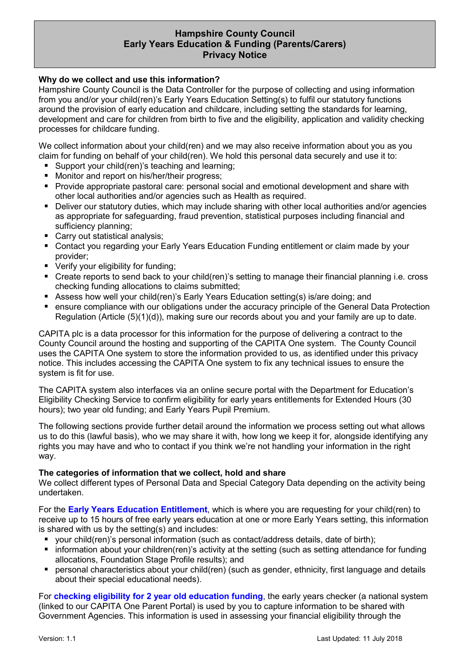# Hampshire County Council Early Years Education & Funding (Parents/Carers) Privacy Notice

### Why do we collect and use this information?

Hampshire County Council is the Data Controller for the purpose of collecting and using information from you and/or your child(ren)'s Early Years Education Setting(s) to fulfil our statutory functions around the provision of early education and childcare, including setting the standards for learning, development and care for children from birth to five and the eligibility, application and validity checking processes for childcare funding.

We collect information about your child(ren) and we may also receive information about you as you claim for funding on behalf of your child(ren). We hold this personal data securely and use it to:

- Support your child(ren)'s teaching and learning;
- **Monitor and report on his/her/their progress:**
- Provide appropriate pastoral care: personal social and emotional development and share with other local authorities and/or agencies such as Health as required.
- **Deliver our statutory duties, which may include sharing with other local authorities and/or agencies** as appropriate for safeguarding, fraud prevention, statistical purposes including financial and sufficiency planning;
- **Carry out statistical analysis;**
- Contact you regarding your Early Years Education Funding entitlement or claim made by your provider;
- **Verify your eligibility for funding;**
- Create reports to send back to your child(ren)'s setting to manage their financial planning i.e. cross checking funding allocations to claims submitted;
- Assess how well your child(ren)'s Early Years Education setting(s) is/are doing; and
- ensure compliance with our obligations under the accuracy principle of the General Data Protection Regulation (Article (5)(1)(d)), making sure our records about you and your family are up to date.

CAPITA plc is a data processor for this information for the purpose of delivering a contract to the County Council around the hosting and supporting of the CAPITA One system. The County Council uses the CAPITA One system to store the information provided to us, as identified under this privacy notice. This includes accessing the CAPITA One system to fix any technical issues to ensure the system is fit for use.

The CAPITA system also interfaces via an online secure portal with the Department for Education's Eligibility Checking Service to confirm eligibility for early years entitlements for Extended Hours (30 hours); two year old funding; and Early Years Pupil Premium.

The following sections provide further detail around the information we process setting out what allows us to do this (lawful basis), who we may share it with, how long we keep it for, alongside identifying any rights you may have and who to contact if you think we're not handling your information in the right way.

#### The categories of information that we collect, hold and share

We collect different types of Personal Data and Special Category Data depending on the activity being undertaken.

For the Early Years Education Entitlement, which is where you are requesting for your child(ren) to receive up to 15 hours of free early years education at one or more Early Years setting, this information is shared with us by the setting(s) and includes:

- your child(ren)'s personal information (such as contact/address details, date of birth);
- information about your children(ren)'s activity at the setting (such as setting attendance for funding allocations, Foundation Stage Profile results); and
- personal characteristics about your child(ren) (such as gender, ethnicity, first language and details about their special educational needs).

For **checking eligibility for 2 year old education funding**, the early years checker (a national system (linked to our CAPITA One Parent Portal) is used by you to capture information to be shared with Government Agencies. This information is used in assessing your financial eligibility through the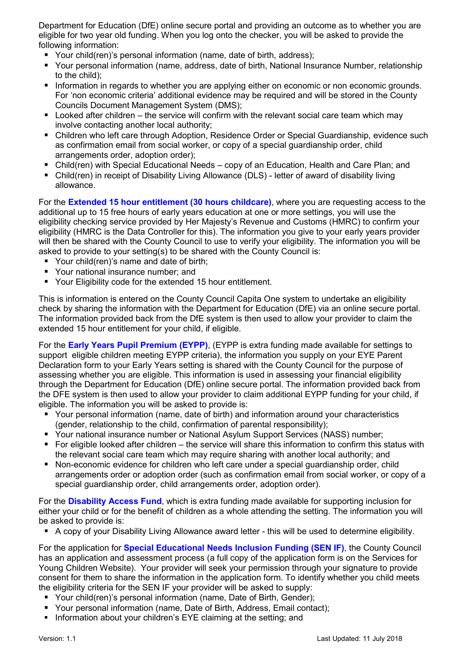Department for Education (DfE) online secure portal and providing an outcome as to whether you are eligible for two year old funding. When you log onto the checker, you will be asked to provide the following information:

- Your child(ren)'s personal information (name, date of birth, address);
- Your personal information (name, address, date of birth, National Insurance Number, relationship to the child);
- **Information in regards to whether you are applying either on economic or non economic grounds.** For 'non economic criteria' additional evidence may be required and will be stored in the County Councils Document Management System (DMS);
- $\blacksquare$  Looked after children the service will confirm with the relevant social care team which may involve contacting another local authority;
- Children who left care through Adoption, Residence Order or Special Guardianship, evidence such as confirmation email from social worker, or copy of a special guardianship order, child arrangements order, adoption order);
- Child(ren) with Special Educational Needs copy of an Education, Health and Care Plan; and
- Child(ren) in receipt of Disability Living Allowance (DLS) letter of award of disability living allowance.

For the **Extended 15 hour entitlement (30 hours childcare)**, where you are requesting access to the additional up to 15 free hours of early years education at one or more settings, you will use the eligibility checking service provided by Her Majesty's Revenue and Customs (HMRC) to confirm your eligibility (HMRC is the Data Controller for this). The information you give to your early years provider will then be shared with the County Council to use to verify your eligibility. The information you will be asked to provide to your setting(s) to be shared with the County Council is:

- Your child(ren)'s name and date of birth:
- **P** Your national insurance number; and
- Your Eligibility code for the extended 15 hour entitlement.

This is information is entered on the County Council Capita One system to undertake an eligibility check by sharing the information with the Department for Education (DfE) via an online secure portal. The information provided back from the DfE system is then used to allow your provider to claim the extended 15 hour entitlement for your child, if eligible.

For the **Early Years Pupil Premium (EYPP)**, (EYPP is extra funding made available for settings to support eligible children meeting EYPP criteria), the information you supply on your EYE Parent Declaration form to your Early Years setting is shared with the County Council for the purpose of assessing whether you are eligible. This information is used in assessing your financial eligibility through the Department for Education (DfE) online secure portal. The information provided back from the DFE system is then used to allow your provider to claim additional EYPP funding for your child, if eligible. The information you will be asked to provide is:

- Your personal information (name, date of birth) and information around your characteristics (gender, relationship to the child, confirmation of parental responsibility);
- Your national insurance number or National Asylum Support Services (NASS) number;
- For eligible looked after children the service will share this information to confirm this status with the relevant social care team which may require sharing with another local authority; and
- Non-economic evidence for children who left care under a special guardianship order, child arrangements order or adoption order (such as confirmation email from social worker, or copy of a special guardianship order, child arrangements order, adoption order).

For the **Disability Access Fund**, which is extra funding made available for supporting inclusion for either your child or for the benefit of children as a whole attending the setting. The information you will be asked to provide is:

A copy of your Disability Living Allowance award letter - this will be used to determine eligibility.

For the application for **Special Educational Needs Inclusion Funding (SEN IF)**, the County Council has an application and assessment process (a full copy of the application form is on the Services for Young Children Website). Your provider will seek your permission through your signature to provide consent for them to share the information in the application form. To identify whether you child meets the eligibility criteria for the SEN IF your provider will be asked to supply:

- Your child(ren)'s personal information (name, Date of Birth, Gender);
- Your personal information (name, Date of Birth, Address, Email contact);
- **Information about your children's EYE claiming at the setting; and**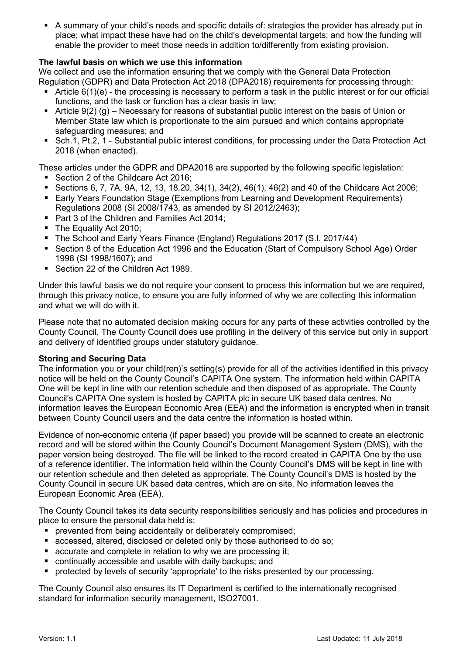A summary of your child's needs and specific details of: strategies the provider has already put in place; what impact these have had on the child's developmental targets; and how the funding will enable the provider to meet those needs in addition to/differently from existing provision.

# The lawful basis on which we use this information

We collect and use the information ensuring that we comply with the General Data Protection Regulation (GDPR) and Data Protection Act 2018 (DPA2018) requirements for processing through:

- $\blacksquare$  Article 6(1)(e) the processing is necessary to perform a task in the public interest or for our official functions, and the task or function has a clear basis in law;
- Article  $9(2)$  (g) Necessary for reasons of substantial public interest on the basis of Union or Member State law which is proportionate to the aim pursued and which contains appropriate safeguarding measures; and
- Sch.1, Pt.2, 1 Substantial public interest conditions, for processing under the Data Protection Act 2018 (when enacted).

These articles under the GDPR and DPA2018 are supported by the following specific legislation:

- Section 2 of the Childcare Act 2016;
- Sections 6, 7, 7A, 9A, 12, 13, 18.20, 34(1), 34(2), 46(1), 46(2) and 40 of the Childcare Act 2006;
- Early Years Foundation Stage (Exemptions from Learning and Development Requirements) Regulations 2008 (SI 2008/1743, as amended by SI 2012/2463);
- Part 3 of the Children and Families Act 2014:
- The Equality Act 2010;
- The School and Early Years Finance (England) Regulations 2017 (S.I. 2017/44)
- Section 8 of the Education Act 1996 and the Education (Start of Compulsory School Age) Order 1998 (SI 1998/1607); and
- Section 22 of the Children Act 1989.

Under this lawful basis we do not require your consent to process this information but we are required, through this privacy notice, to ensure you are fully informed of why we are collecting this information and what we will do with it.

Please note that no automated decision making occurs for any parts of these activities controlled by the County Council. The County Council does use profiling in the delivery of this service but only in support and delivery of identified groups under statutory guidance.

#### Storing and Securing Data

The information you or your child(ren)'s setting(s) provide for all of the activities identified in this privacy notice will be held on the County Council's CAPITA One system. The information held within CAPITA One will be kept in line with our retention schedule and then disposed of as appropriate. The County Council's CAPITA One system is hosted by CAPITA plc in secure UK based data centres. No information leaves the European Economic Area (EEA) and the information is encrypted when in transit between County Council users and the data centre the information is hosted within.

Evidence of non-economic criteria (if paper based) you provide will be scanned to create an electronic record and will be stored within the County Council's Document Management System (DMS), with the paper version being destroyed. The file will be linked to the record created in CAPITA One by the use of a reference identifier. The information held within the County Council's DMS will be kept in line with our retention schedule and then deleted as appropriate. The County Council's DMS is hosted by the County Council in secure UK based data centres, which are on site. No information leaves the European Economic Area (EEA).

The County Council takes its data security responsibilities seriously and has policies and procedures in place to ensure the personal data held is:

- **Performance in the independent of the prevented from being accidentally or deliberately compromised;**
- accessed, altered, disclosed or deleted only by those authorised to do so;
- accurate and complete in relation to why we are processing it:
- continually accessible and usable with daily backups; and
- **•** protected by levels of security 'appropriate' to the risks presented by our processing.

The County Council also ensures its IT Department is certified to the internationally recognised standard for information security management, ISO27001.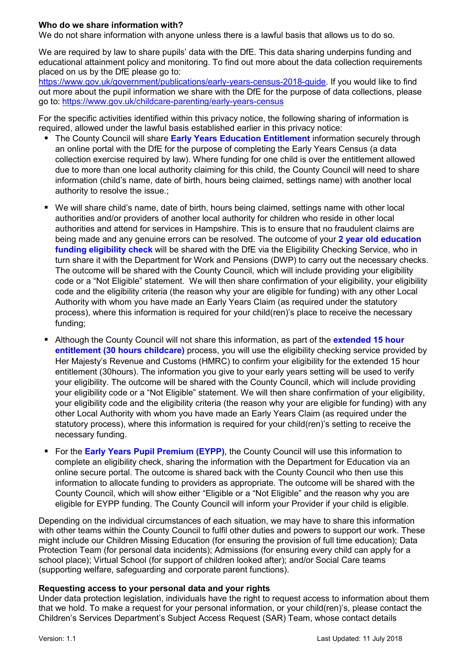## Who do we share information with?

We do not share information with anyone unless there is a lawful basis that allows us to do so.

We are required by law to share pupils' data with the DfE. This data sharing underpins funding and educational attainment policy and monitoring. To find out more about the data collection requirements placed on us by the DfE please go to:

https://www.gov.uk/government/publications/early-years-census-2018-guide. If you would like to find out more about the pupil information we share with the DfE for the purpose of data collections, please go to: https://www.gov.uk/childcare-parenting/early-years-census

For the specific activities identified within this privacy notice, the following sharing of information is required, allowed under the lawful basis established earlier in this privacy notice:

- The County Council will share Early Years Education Entitlement information securely through an online portal with the DfE for the purpose of completing the Early Years Census (a data collection exercise required by law). Where funding for one child is over the entitlement allowed due to more than one local authority claiming for this child, the County Council will need to share information (child's name, date of birth, hours being claimed, settings name) with another local authority to resolve the issue.;
- We will share child's name, date of birth, hours being claimed, settings name with other local authorities and/or providers of another local authority for children who reside in other local authorities and attend for services in Hampshire. This is to ensure that no fraudulent claims are being made and any genuine errors can be resolved. The outcome of your 2 year old education funding eligibility check will be shared with the DfE via the Eligibility Checking Service, who in turn share it with the Department for Work and Pensions (DWP) to carry out the necessary checks. The outcome will be shared with the County Council, which will include providing your eligibility code or a "Not Eligible" statement. We will then share confirmation of your eligibility, your eligibility code and the eligibility criteria (the reason why your are eligible for funding) with any other Local Authority with whom you have made an Early Years Claim (as required under the statutory process), where this information is required for your child(ren)'s place to receive the necessary funding;
- Although the County Council will not share this information, as part of the extended 15 hour entitlement (30 hours childcare) process, you will use the eligibility checking service provided by Her Majesty's Revenue and Customs (HMRC) to confirm your eligibility for the extended 15 hour entitlement (30hours). The information you give to your early years setting will be used to verify your eligibility. The outcome will be shared with the County Council, which will include providing your eligibility code or a "Not Eligible" statement. We will then share confirmation of your eligibility, your eligibility code and the eligibility criteria (the reason why your are eligible for funding) with any other Local Authority with whom you have made an Early Years Claim (as required under the statutory process), where this information is required for your child(ren)'s setting to receive the necessary funding.
- For the Early Years Pupil Premium (EYPP), the County Council will use this information to complete an eligibility check, sharing the information with the Department for Education via an online secure portal. The outcome is shared back with the County Council who then use this information to allocate funding to providers as appropriate. The outcome will be shared with the County Council, which will show either "Eligible or a "Not Eligible" and the reason why you are eligible for EYPP funding. The County Council will inform your Provider if your child is eligible.

Depending on the individual circumstances of each situation, we may have to share this information with other teams within the County Council to fulfil other duties and powers to support our work. These might include our Children Missing Education (for ensuring the provision of full time education); Data Protection Team (for personal data incidents); Admissions (for ensuring every child can apply for a school place); Virtual School (for support of children looked after); and/or Social Care teams (supporting welfare, safeguarding and corporate parent functions).

### Requesting access to your personal data and your rights

Under data protection legislation, individuals have the right to request access to information about them that we hold. To make a request for your personal information, or your child(ren)'s, please contact the Children's Services Department's Subject Access Request (SAR) Team, whose contact details